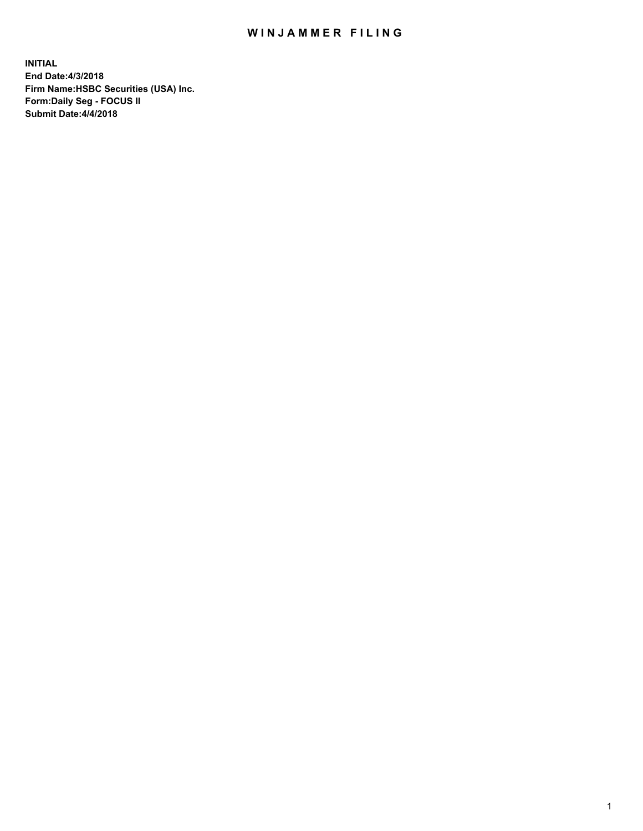## WIN JAMMER FILING

**INITIAL End Date:4/3/2018 Firm Name:HSBC Securities (USA) Inc. Form:Daily Seg - FOCUS II Submit Date:4/4/2018**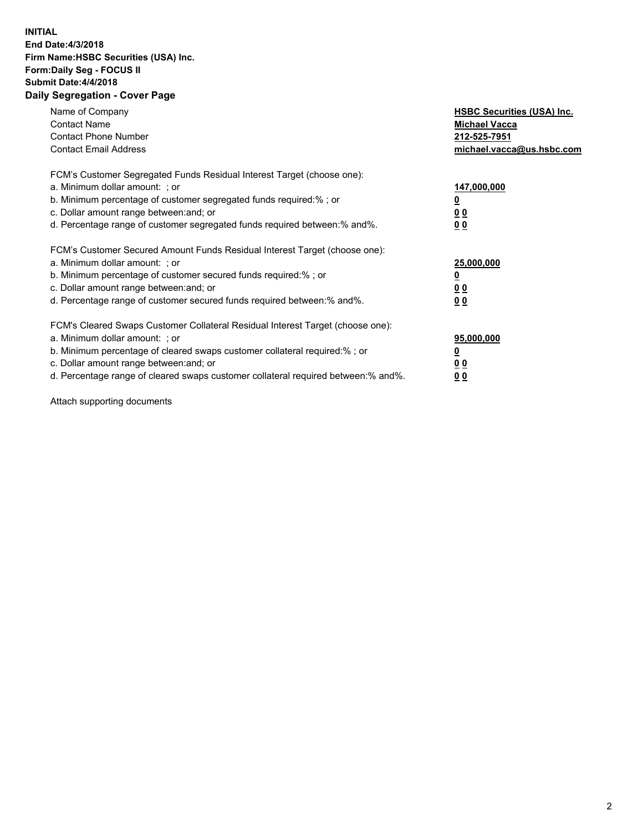## **INITIAL End Date:4/3/2018 Firm Name:HSBC Securities (USA) Inc. Form:Daily Seg - FOCUS II Submit Date:4/4/2018 Daily Segregation - Cover Page**

| Name of Company<br><b>Contact Name</b><br><b>Contact Phone Number</b><br><b>Contact Email Address</b>                                                                                                                                                                                                                         | <b>HSBC Securities (USA) Inc.</b><br><b>Michael Vacca</b><br>212-525-7951<br>michael.vacca@us.hsbc.com |
|-------------------------------------------------------------------------------------------------------------------------------------------------------------------------------------------------------------------------------------------------------------------------------------------------------------------------------|--------------------------------------------------------------------------------------------------------|
| FCM's Customer Segregated Funds Residual Interest Target (choose one):<br>a. Minimum dollar amount: ; or<br>b. Minimum percentage of customer segregated funds required:%; or<br>c. Dollar amount range between: and; or<br>d. Percentage range of customer segregated funds required between: % and %.                       | 147,000,000<br><u>0</u><br><u>00</u><br><u>00</u>                                                      |
| FCM's Customer Secured Amount Funds Residual Interest Target (choose one):<br>a. Minimum dollar amount: ; or<br>b. Minimum percentage of customer secured funds required:%; or<br>c. Dollar amount range between: and; or<br>d. Percentage range of customer secured funds required between: % and %.                         | 25,000,000<br><u>0</u><br><u>00</u><br>00                                                              |
| FCM's Cleared Swaps Customer Collateral Residual Interest Target (choose one):<br>a. Minimum dollar amount: ; or<br>b. Minimum percentage of cleared swaps customer collateral required:%; or<br>c. Dollar amount range between: and; or<br>d. Percentage range of cleared swaps customer collateral required between:% and%. | 95,000,000<br><u>0</u><br><u>00</u><br><u>00</u>                                                       |

Attach supporting documents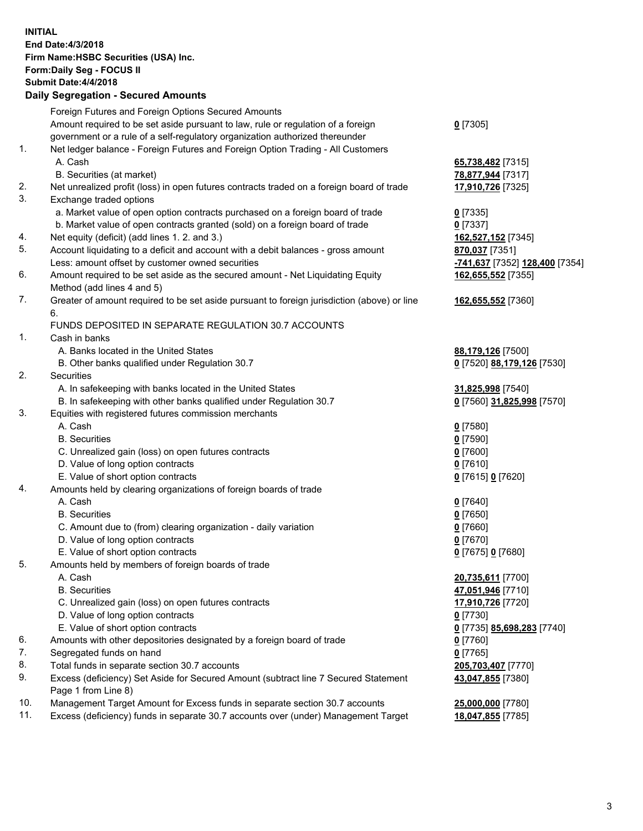**INITIAL End Date:4/3/2018 Firm Name:HSBC Securities (USA) Inc. Form:Daily Seg - FOCUS II Submit Date:4/4/2018 Daily Segregation - Secured Amounts** Foreign Futures and Foreign Options Secured Amounts Amount required to be set aside pursuant to law, rule or regulation of a foreign government or a rule of a self-regulatory organization authorized thereunder **0** [7305] 1. Net ledger balance - Foreign Futures and Foreign Option Trading - All Customers A. Cash **65,738,482** [7315] B. Securities (at market) **78,877,944** [7317] 2. Net unrealized profit (loss) in open futures contracts traded on a foreign board of trade **17,910,726** [7325] 3. Exchange traded options a. Market value of open option contracts purchased on a foreign board of trade **0** [7335] b. Market value of open contracts granted (sold) on a foreign board of trade **0** [7337] 4. Net equity (deficit) (add lines 1. 2. and 3.) **162,527,152** [7345] 5. Account liquidating to a deficit and account with a debit balances - gross amount **870,037** [7351] Less: amount offset by customer owned securities **-741,637** [7352] **128,400** [7354] 6. Amount required to be set aside as the secured amount - Net Liquidating Equity Method (add lines 4 and 5) **162,655,552** [7355] 7. Greater of amount required to be set aside pursuant to foreign jurisdiction (above) or line 6. **162,655,552** [7360] FUNDS DEPOSITED IN SEPARATE REGULATION 30.7 ACCOUNTS 1. Cash in banks A. Banks located in the United States **88,179,126** [7500] B. Other banks qualified under Regulation 30.7 **0** [7520] **88,179,126** [7530] 2. Securities A. In safekeeping with banks located in the United States **31,825,998** [7540] B. In safekeeping with other banks qualified under Regulation 30.7 **0** [7560] **31,825,998** [7570] 3. Equities with registered futures commission merchants A. Cash **0** [7580] B. Securities **0** [7590] C. Unrealized gain (loss) on open futures contracts **0** [7600] D. Value of long option contracts **0** [7610] E. Value of short option contracts **0** [7615] **0** [7620] 4. Amounts held by clearing organizations of foreign boards of trade A. Cash **0** [7640] B. Securities **0** [7650] C. Amount due to (from) clearing organization - daily variation **0** [7660] D. Value of long option contracts **0** [7670] E. Value of short option contracts **0** [7675] **0** [7680] 5. Amounts held by members of foreign boards of trade A. Cash **20,735,611** [7700] B. Securities **47,051,946** [7710] C. Unrealized gain (loss) on open futures contracts **17,910,726** [7720] D. Value of long option contracts **0** [7730] E. Value of short option contracts **0** [7735] **85,698,283** [7740] 6. Amounts with other depositories designated by a foreign board of trade **0** [7760] 7. Segregated funds on hand **0** [7765] 8. Total funds in separate section 30.7 accounts **205,703,407** [7770] 9. Excess (deficiency) Set Aside for Secured Amount (subtract line 7 Secured Statement Page 1 from Line 8) **43,047,855** [7380] 10. Management Target Amount for Excess funds in separate section 30.7 accounts **25,000,000** [7780] 11. Excess (deficiency) funds in separate 30.7 accounts over (under) Management Target **18,047,855** [7785]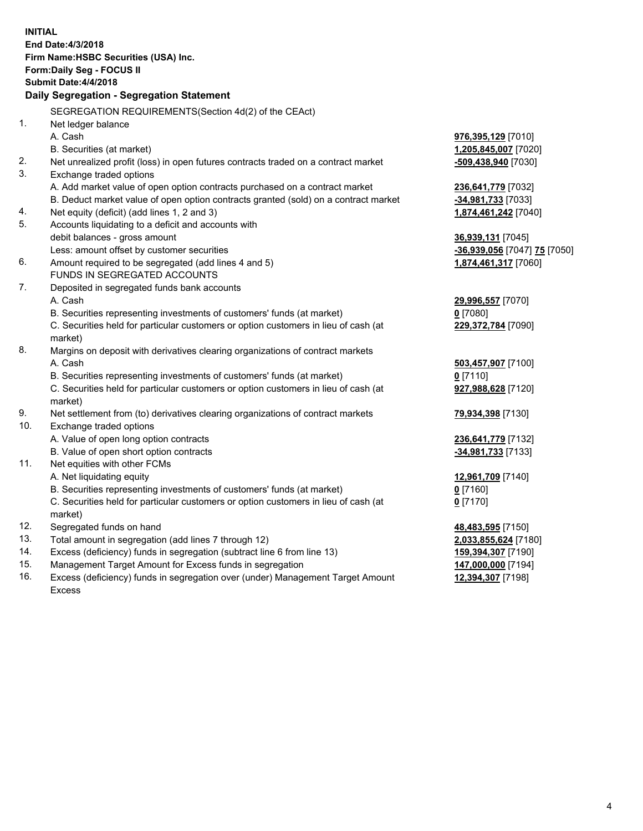| <b>INITIAL</b> | End Date: 4/3/2018<br>Firm Name: HSBC Securities (USA) Inc.<br>Form: Daily Seg - FOCUS II<br><b>Submit Date: 4/4/2018</b><br>Daily Segregation - Segregation Statement |                              |
|----------------|------------------------------------------------------------------------------------------------------------------------------------------------------------------------|------------------------------|
|                | SEGREGATION REQUIREMENTS(Section 4d(2) of the CEAct)                                                                                                                   |                              |
| 1.             | Net ledger balance                                                                                                                                                     |                              |
|                | A. Cash                                                                                                                                                                | 976,395,129 [7010]           |
|                | B. Securities (at market)                                                                                                                                              | 1,205,845,007 [7020]         |
| 2.             | Net unrealized profit (loss) in open futures contracts traded on a contract market                                                                                     | -509,438,940 [7030]          |
| 3.             | Exchange traded options                                                                                                                                                |                              |
|                | A. Add market value of open option contracts purchased on a contract market                                                                                            | 236,641,779 [7032]           |
|                | B. Deduct market value of open option contracts granted (sold) on a contract market                                                                                    | -34,981,733 [7033]           |
| 4.             | Net equity (deficit) (add lines 1, 2 and 3)                                                                                                                            | 1,874,461,242 [7040]         |
| 5.             | Accounts liquidating to a deficit and accounts with                                                                                                                    |                              |
|                | debit balances - gross amount                                                                                                                                          | 36,939,131 [7045]            |
|                | Less: amount offset by customer securities                                                                                                                             | -36,939,056 [7047] 75 [7050] |
| 6.             | Amount required to be segregated (add lines 4 and 5)                                                                                                                   | 1,874,461,317 [7060]         |
|                | FUNDS IN SEGREGATED ACCOUNTS                                                                                                                                           |                              |
| 7.             | Deposited in segregated funds bank accounts                                                                                                                            |                              |
|                | A. Cash                                                                                                                                                                | 29,996,557 [7070]            |
|                | B. Securities representing investments of customers' funds (at market)                                                                                                 | $0$ [7080]                   |
|                | C. Securities held for particular customers or option customers in lieu of cash (at                                                                                    | 229,372,784 [7090]           |
|                | market)                                                                                                                                                                |                              |
| 8.             | Margins on deposit with derivatives clearing organizations of contract markets                                                                                         |                              |
|                | A. Cash                                                                                                                                                                | 503,457,907 [7100]           |
|                | B. Securities representing investments of customers' funds (at market)                                                                                                 | $0$ [7110]                   |
|                | C. Securities held for particular customers or option customers in lieu of cash (at<br>market)                                                                         | 927,988,628 [7120]           |
| 9.             | Net settlement from (to) derivatives clearing organizations of contract markets                                                                                        | 79,934,398 [7130]            |
| 10.            | Exchange traded options                                                                                                                                                |                              |
|                | A. Value of open long option contracts                                                                                                                                 | 236,641,779 [7132]           |
|                | B. Value of open short option contracts                                                                                                                                | -34,981,733 [7133]           |
| 11.            | Net equities with other FCMs                                                                                                                                           |                              |
|                | A. Net liquidating equity                                                                                                                                              | 12,961,709 [7140]            |
|                | B. Securities representing investments of customers' funds (at market)                                                                                                 | 0 [7160]                     |
|                | C. Securities held for particular customers or option customers in lieu of cash (at<br>market)                                                                         | $0$ [7170]                   |
| 12.            | Segregated funds on hand                                                                                                                                               | 48,483,595 [7150]            |
| 13.            | Total amount in segregation (add lines 7 through 12)                                                                                                                   | 2,033,855,624 [7180]         |
| 14.            | Excess (deficiency) funds in segregation (subtract line 6 from line 13)                                                                                                | 159,394,307 [7190]           |
| 15.            | Management Target Amount for Excess funds in segregation                                                                                                               | 147,000,000 [7194]           |
| 16.            | Excess (deficiency) funds in segregation over (under) Management Target Amount                                                                                         | 12,394,307 [7198]            |

16. Excess (deficiency) funds in segregation over (under) Management Target Amount Excess